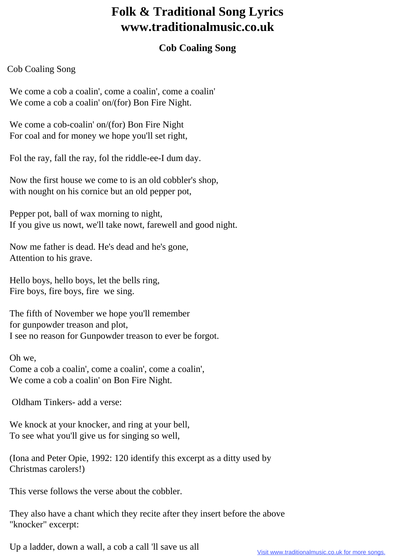## **Folk & Traditional Song Lyrics www.traditionalmusic.co.uk**

## **Cob Coaling Song**

## Cob Coaling Song

We come a cob a coalin', come a coalin', come a coalin' We come a cob a coalin' on/(for) Bon Fire Night.

 We come a cob-coalin' on/(for) Bon Fire Night For coal and for money we hope you'll set right,

Fol the ray, fall the ray, fol the riddle-ee-I dum day.

 Now the first house we come to is an old cobbler's shop, with nought on his cornice but an old pepper pot,

 Pepper pot, ball of wax morning to night, If you give us nowt, we'll take nowt, farewell and good night.

 Now me father is dead. He's dead and he's gone, Attention to his grave.

 Hello boys, hello boys, let the bells ring, Fire boys, fire boys, fire we sing.

 The fifth of November we hope you'll remember for gunpowder treason and plot, I see no reason for Gunpowder treason to ever be forgot.

 Oh we, Come a cob a coalin', come a coalin', come a coalin', We come a cob a coalin' on Bon Fire Night.

Oldham Tinkers- add a verse:

We knock at your knocker, and ring at your bell, To see what you'll give us for singing so well,

 (Iona and Peter Opie, 1992: 120 identify this excerpt as a ditty used by Christmas carolers!)

This verse follows the verse about the cobbler.

 They also have a chant which they recite after they insert before the above "knocker" excerpt:

Up a ladder, down a wall, a cob a call 'll save us all